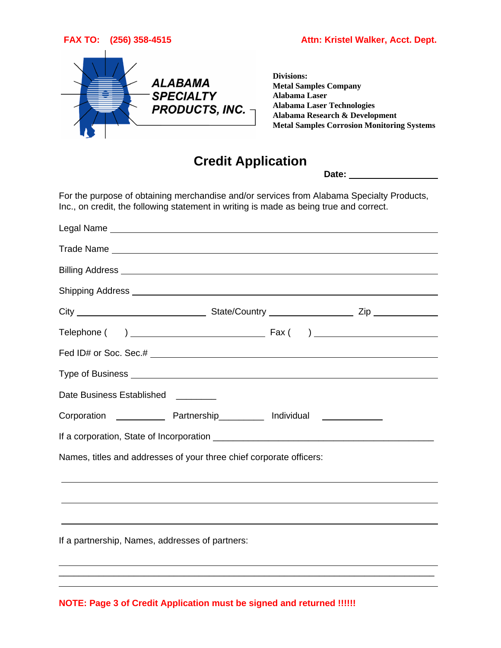

**FAX TO: (256) 358-4515 Attn: Kristel Walker, Acct. Dept.**

**Divisions: Metal Samples Company Alabama Laser Alabama Laser Technologies Alabama Research & Development Metal Samples Corrosion Monitoring Systems**

## **Credit Application**

**Date:** 

For the purpose of obtaining merchandise and/or services from Alabama Specialty Products, Inc., on credit, the following statement in writing is made as being true and correct.

| Date Business Established<br>__________                                          |
|----------------------------------------------------------------------------------|
| Corporation ______________ Partnership___________ Individual ______________      |
|                                                                                  |
| Names, titles and addresses of your three chief corporate officers:              |
| ,我们也不会有什么。""我们的人,我们也不会有什么?""我们的人,我们也不会有什么?""我们的人,我们也不会有什么?""我们的人,我们也不会有什么?""我们的人 |
|                                                                                  |
| If a partnership, Names, addresses of partners:                                  |
|                                                                                  |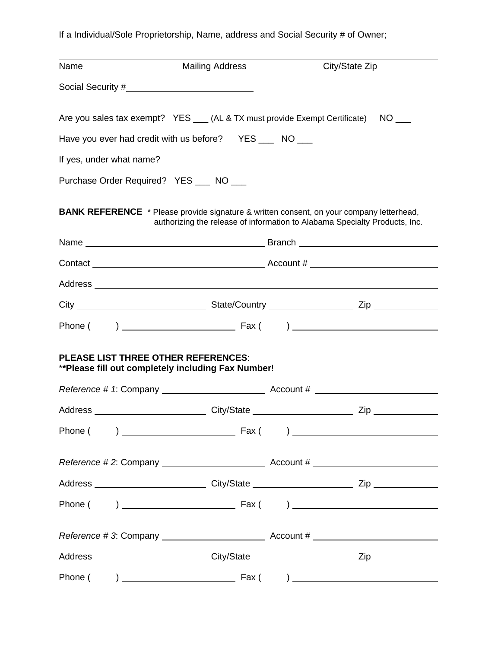If a Individual/Sole Proprietorship, Name, address and Social Security # of Owner;

| Name                                                                                                                                                                          | <b>Mailing Address</b>                                  | City/State Zip                                                                     |  |
|-------------------------------------------------------------------------------------------------------------------------------------------------------------------------------|---------------------------------------------------------|------------------------------------------------------------------------------------|--|
|                                                                                                                                                                               |                                                         |                                                                                    |  |
|                                                                                                                                                                               |                                                         | Are you sales tax exempt? YES ___ (AL & TX must provide Exempt Certificate) NO ___ |  |
|                                                                                                                                                                               | Have you ever had credit with us before? YES ___ NO ___ |                                                                                    |  |
|                                                                                                                                                                               |                                                         |                                                                                    |  |
| Purchase Order Required? YES __ NO __                                                                                                                                         |                                                         |                                                                                    |  |
| <b>BANK REFERENCE</b> * Please provide signature & written consent, on your company letterhead,<br>authorizing the release of information to Alabama Specialty Products, Inc. |                                                         |                                                                                    |  |
|                                                                                                                                                                               |                                                         |                                                                                    |  |
|                                                                                                                                                                               |                                                         |                                                                                    |  |
|                                                                                                                                                                               |                                                         |                                                                                    |  |
|                                                                                                                                                                               |                                                         |                                                                                    |  |
|                                                                                                                                                                               |                                                         |                                                                                    |  |
| <b>PLEASE LIST THREE OTHER REFERENCES:</b><br>** Please fill out completely including Fax Number!                                                                             |                                                         |                                                                                    |  |
|                                                                                                                                                                               |                                                         |                                                                                    |  |
|                                                                                                                                                                               |                                                         |                                                                                    |  |
|                                                                                                                                                                               |                                                         |                                                                                    |  |
|                                                                                                                                                                               |                                                         |                                                                                    |  |
|                                                                                                                                                                               |                                                         |                                                                                    |  |
|                                                                                                                                                                               |                                                         |                                                                                    |  |
|                                                                                                                                                                               |                                                         |                                                                                    |  |
|                                                                                                                                                                               |                                                         |                                                                                    |  |
|                                                                                                                                                                               |                                                         |                                                                                    |  |